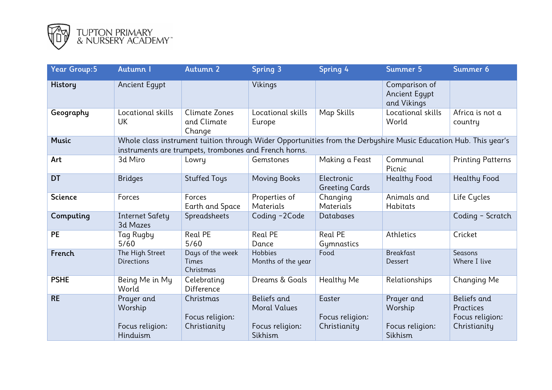

| <b>Year Group:5</b> | Autumn I                                                                                                                                                                 | Autumn 2                                     | Spring 3                                                         | Spring 4                                  | Summer 5                                             | Summer 6                                                    |  |  |  |
|---------------------|--------------------------------------------------------------------------------------------------------------------------------------------------------------------------|----------------------------------------------|------------------------------------------------------------------|-------------------------------------------|------------------------------------------------------|-------------------------------------------------------------|--|--|--|
| <b>History</b>      | <b>Ancient Egypt</b>                                                                                                                                                     |                                              | Vikings                                                          |                                           | Comparison of<br><b>Ancient Egypt</b><br>and Vikings |                                                             |  |  |  |
| Geography           | Locational skills<br>UK                                                                                                                                                  | Climate Zones<br>and Climate<br>Change       | Locational skills<br>Europe                                      | Map Skills                                | Locational skills<br>World                           | Africa is not a<br>country                                  |  |  |  |
| <b>Music</b>        | Whole class instrument tuition through Wider Opportunities from the Derbyshire Music Education Hub. This year's<br>instruments are trumpets, trombones and French horns. |                                              |                                                                  |                                           |                                                      |                                                             |  |  |  |
| Art                 | 3d Miro                                                                                                                                                                  | Lowry                                        | Gemstones                                                        | Making a Feast                            | Communal<br>Picnic                                   | <b>Printing Patterns</b>                                    |  |  |  |
| <b>DT</b>           | <b>Bridges</b>                                                                                                                                                           | <b>Stuffed Toys</b>                          | <b>Moving Books</b>                                              | Electronic<br><b>Greeting Cards</b>       | <b>Healthy Food</b>                                  | Healthy Food                                                |  |  |  |
| <b>Science</b>      | Forces                                                                                                                                                                   | Forces<br>Earth and Space                    | Properties of<br><b>Materials</b>                                | Changing<br>Materials                     | Animals and<br>Habitats                              | Life Cycles                                                 |  |  |  |
| Computing           | <b>Internet Safety</b><br>3d Mazes                                                                                                                                       | Spreadsheets                                 | Coding -2Code                                                    | Databases                                 |                                                      | Coding - Scratch                                            |  |  |  |
| <b>PE</b>           | Tag Rugby<br>5/60                                                                                                                                                        | Real PE<br>5/60                              | Real PE<br>Dance                                                 | Real PE<br>Gymnastics                     | Athletics                                            | Cricket                                                     |  |  |  |
| French              | The High Street<br><b>Directions</b>                                                                                                                                     | Days of the week<br>Times<br>Christmas       | Hobbies<br>Months of the year                                    | Food                                      | <b>Breakfast</b><br>Dessert                          | Seasons<br>Where I live                                     |  |  |  |
| <b>PSHE</b>         | Being Me in My<br>World                                                                                                                                                  | Celebrating<br>Difference                    | Dreams & Goals                                                   | Healthy Me                                | Relationships                                        | Changing Me                                                 |  |  |  |
| <b>RE</b>           | Prayer and<br>Worship<br>Focus religion:<br><b>Hinduism</b>                                                                                                              | Christmas<br>Focus religion:<br>Christianity | Beliefs and<br><b>Moral Values</b><br>Focus religion:<br>Sikhism | Easter<br>Focus religion:<br>Christianity | Prayer and<br>Worship<br>Focus religion:<br>Sikhism  | Beliefs and<br>Practices<br>Focus religion:<br>Christianity |  |  |  |